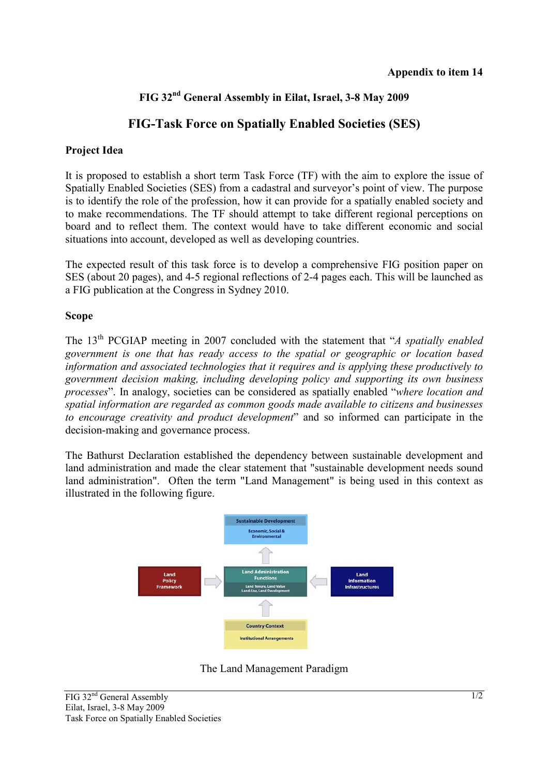## **FIG 32nd General Assembly in Eilat, Israel, 3-8 May 2009**

# **FIG-Task Force on Spatially Enabled Societies (SES)**

### **Project Idea**

It is proposed to establish a short term Task Force (TF) with the aim to explore the issue of Spatially Enabled Societies (SES) from a cadastral and surveyor's point of view. The purpose is to identify the role of the profession, how it can provide for a spatially enabled society and to make recommendations. The TF should attempt to take different regional perceptions on board and to reflect them. The context would have to take different economic and social situations into account, developed as well as developing countries.

The expected result of this task force is to develop a comprehensive FIG position paper on SES (about 20 pages), and 4-5 regional reflections of 2-4 pages each. This will be launched as a FIG publication at the Congress in Sydney 2010.

#### **Scope**

The 13<sup>th</sup> PCGIAP meeting in 2007 concluded with the statement that "*A spatially enabled government is one that has ready access to the spatial or geographic or location based information and associated technologies that it requires and is applying these productively to government decision making, including developing policy and supporting its own business processes*". In analogy, societies can be considered as spatially enabled "*where location and spatial information are regarded as common goods made available to citizens and businesses to encourage creativity and product development*" and so informed can participate in the decision-making and governance process.

The Bathurst Declaration established the dependency between sustainable development and land administration and made the clear statement that "sustainable development needs sound land administration". Often the term "Land Management" is being used in this context as illustrated in the following figure.



The Land Management Paradigm